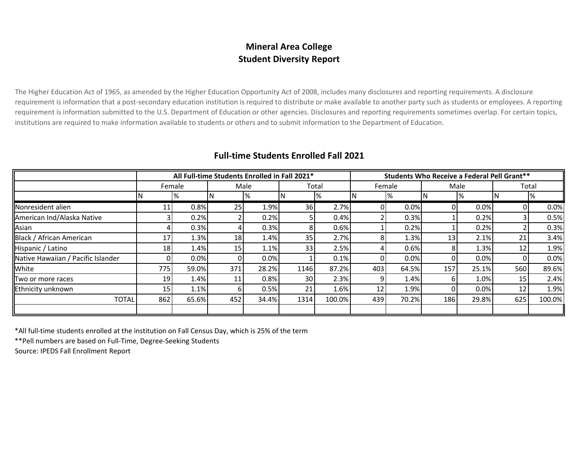## **Mineral Area College Student Diversity Report**

The Higher Education Act of 1965, as amended by the Higher Education Opportunity Act of 2008, includes many disclosures and reporting requirements. A disclosure requirement is information that a post-secondary education institution is required to distribute or make available to another party such as students or employees. A reporting requirement is information submitted to the U.S. Department of Education or other agencies. Disclosures and reporting requirements sometimes overlap. For certain topics, institutions are required to make information available to students or others and to submit information to the Department of Education.

|                                    | All Full-time Students Enrolled in Fall 2021* |       |      |       |       |        |        | <b>Students Who Receive a Federal Pell Grant**</b> |                 |       |                 |        |  |  |
|------------------------------------|-----------------------------------------------|-------|------|-------|-------|--------|--------|----------------------------------------------------|-----------------|-------|-----------------|--------|--|--|
|                                    | Female                                        |       | Male |       | Total |        | Female |                                                    | Male            |       | Total           |        |  |  |
|                                    |                                               | %     |      | ℅     | N     | %      |        | %                                                  |                 |       |                 | %      |  |  |
| Nonresident alien                  | TТ                                            | 0.8%  | 25   | 1.9%  | 36    | 2.7%   | 0      | 0.0%                                               | ΩI              | 0.0%  |                 | 0.0%   |  |  |
| American Ind/Alaska Native         |                                               | 0.2%  |      | 0.2%  | 51    | 0.4%   |        | 0.3%                                               |                 | 0.2%  |                 | 0.5%   |  |  |
| Asian                              |                                               | 0.3%  |      | 0.3%  | 81    | 0.6%   |        | 0.2%                                               |                 | 0.2%  |                 | 0.3%   |  |  |
| Black / African American           | 17                                            | 1.3%  | 18   | 1.4%  | 35    | 2.7%   | 8      | 1.3%                                               | 13 <sub>1</sub> | 2.1%  | 21              | 3.4%   |  |  |
| Hispanic / Latino                  | 18 <sub>1</sub>                               | 1.4%  | 15   | 1.1%  | 33    | 2.5%   | 4      | 0.6%                                               | 81              | 1.3%  | 12 <sub>1</sub> | 1.9%   |  |  |
| Native Hawaiian / Pacific Islander |                                               | 0.0%  | 0    | 0.0%  |       | 0.1%   |        | 0.0%                                               |                 | 0.0%  |                 | 0.0%   |  |  |
| White                              | 775                                           | 59.0% | 371  | 28.2% | 1146  | 87.2%  | 403    | 64.5%                                              | 157             | 25.1% | 560             | 89.6%  |  |  |
| Two or more races                  | 19                                            | 1.4%  | 11   | 0.8%  | 30 l  | 2.3%   | 9      | 1.4%                                               | ы               | 1.0%  | 15              | 2.4%   |  |  |
| Ethnicity unknown                  | 15 <sub>1</sub>                               | 1.1%  | 6    | 0.5%  | 21    | 1.6%   | 12     | 1.9%                                               |                 | 0.0%  | 12              | 1.9%   |  |  |
| <b>TOTAL</b>                       | 862                                           | 65.6% | 452  | 34.4% | 1314  | 100.0% | 439    | 70.2%                                              | 186             | 29.8% | 625             | 100.0% |  |  |
|                                    |                                               |       |      |       |       |        |        |                                                    |                 |       |                 |        |  |  |

## **Full-time Students Enrolled Fall 2021**

\*All full-time students enrolled at the institution on Fall Census Day, which is 25% of the term

\*\*Pell numbers are based on Full-Time, Degree-Seeking Students

Source: IPEDS Fall Enrollment Report